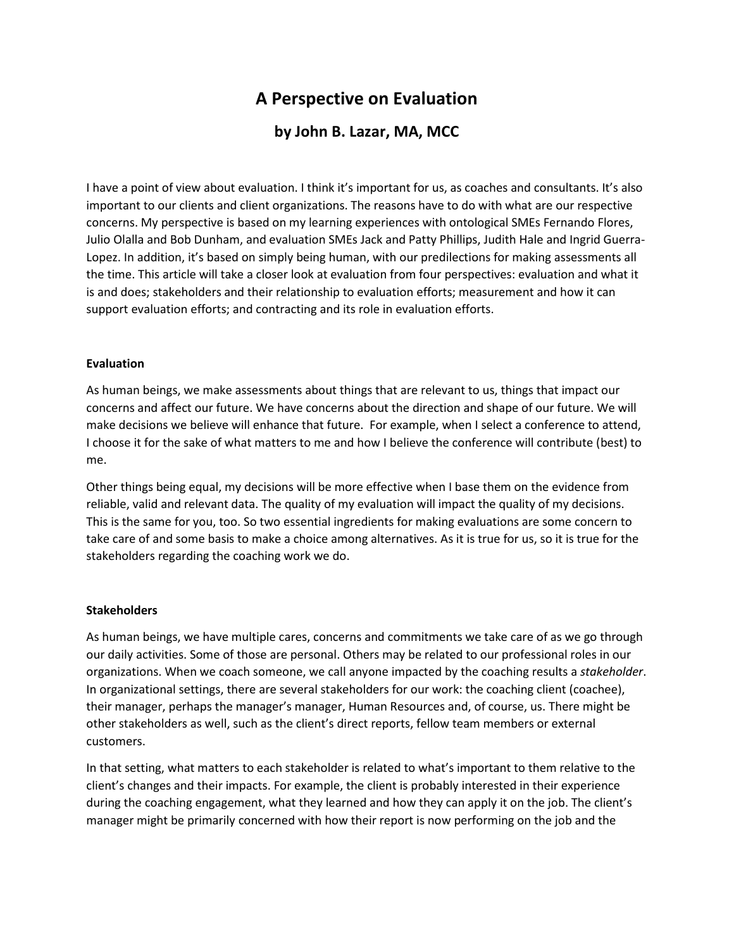# **A Perspective on Evaluation**

# **by John B. Lazar, MA, MCC**

I have a point of view about evaluation. I think it's important for us, as coaches and consultants. It's also important to our clients and client organizations. The reasons have to do with what are our respective concerns. My perspective is based on my learning experiences with ontological SMEs Fernando Flores, Julio Olalla and Bob Dunham, and evaluation SMEs Jack and Patty Phillips, Judith Hale and Ingrid Guerra-Lopez. In addition, it's based on simply being human, with our predilections for making assessments all the time. This article will take a closer look at evaluation from four perspectives: evaluation and what it is and does; stakeholders and their relationship to evaluation efforts; measurement and how it can support evaluation efforts; and contracting and its role in evaluation efforts.

#### **Evaluation**

As human beings, we make assessments about things that are relevant to us, things that impact our concerns and affect our future. We have concerns about the direction and shape of our future. We will make decisions we believe will enhance that future. For example, when I select a conference to attend, I choose it for the sake of what matters to me and how I believe the conference will contribute (best) to me.

Other things being equal, my decisions will be more effective when I base them on the evidence from reliable, valid and relevant data. The quality of my evaluation will impact the quality of my decisions. This is the same for you, too. So two essential ingredients for making evaluations are some concern to take care of and some basis to make a choice among alternatives. As it is true for us, so it is true for the stakeholders regarding the coaching work we do.

## **Stakeholders**

As human beings, we have multiple cares, concerns and commitments we take care of as we go through our daily activities. Some of those are personal. Others may be related to our professional roles in our organizations. When we coach someone, we call anyone impacted by the coaching results a *stakeholder*. In organizational settings, there are several stakeholders for our work: the coaching client (coachee), their manager, perhaps the manager's manager, Human Resources and, of course, us. There might be other stakeholders as well, such as the client's direct reports, fellow team members or external customers.

In that setting, what matters to each stakeholder is related to what's important to them relative to the client's changes and their impacts. For example, the client is probably interested in their experience during the coaching engagement, what they learned and how they can apply it on the job. The client's manager might be primarily concerned with how their report is now performing on the job and the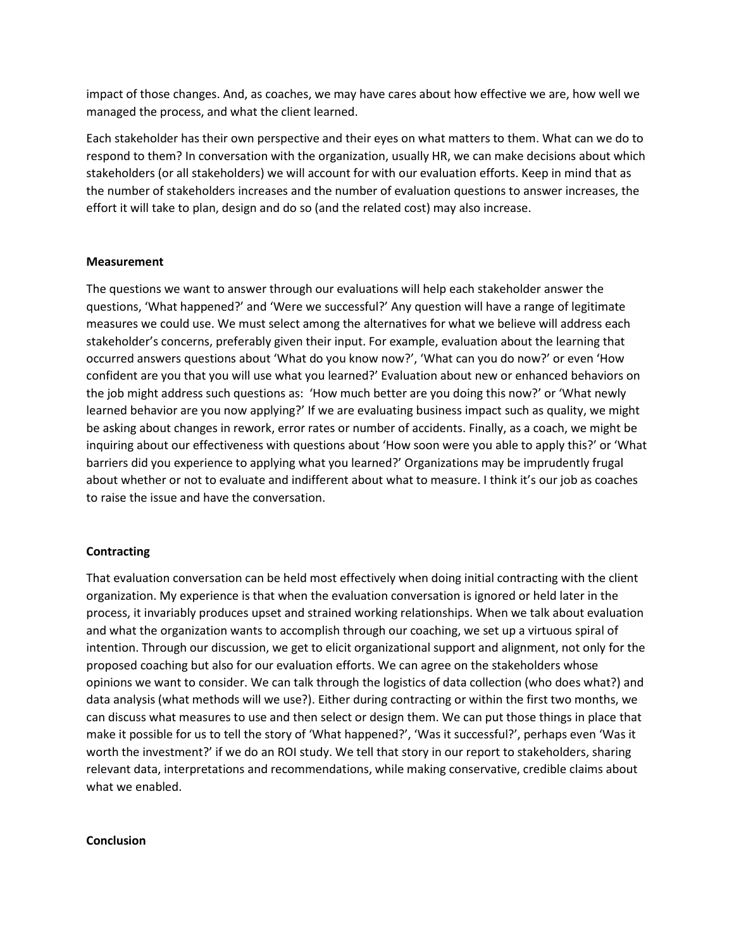impact of those changes. And, as coaches, we may have cares about how effective we are, how well we managed the process, and what the client learned.

Each stakeholder has their own perspective and their eyes on what matters to them. What can we do to respond to them? In conversation with the organization, usually HR, we can make decisions about which stakeholders (or all stakeholders) we will account for with our evaluation efforts. Keep in mind that as the number of stakeholders increases and the number of evaluation questions to answer increases, the effort it will take to plan, design and do so (and the related cost) may also increase.

#### **Measurement**

The questions we want to answer through our evaluations will help each stakeholder answer the questions, 'What happened?' and 'Were we successful?' Any question will have a range of legitimate measures we could use. We must select among the alternatives for what we believe will address each stakeholder's concerns, preferably given their input. For example, evaluation about the learning that occurred answers questions about 'What do you know now?', 'What can you do now?' or even 'How confident are you that you will use what you learned?' Evaluation about new or enhanced behaviors on the job might address such questions as: 'How much better are you doing this now?' or 'What newly learned behavior are you now applying?' If we are evaluating business impact such as quality, we might be asking about changes in rework, error rates or number of accidents. Finally, as a coach, we might be inquiring about our effectiveness with questions about 'How soon were you able to apply this?' or 'What barriers did you experience to applying what you learned?' Organizations may be imprudently frugal about whether or not to evaluate and indifferent about what to measure. I think it's our job as coaches to raise the issue and have the conversation.

## **Contracting**

That evaluation conversation can be held most effectively when doing initial contracting with the client organization. My experience is that when the evaluation conversation is ignored or held later in the process, it invariably produces upset and strained working relationships. When we talk about evaluation and what the organization wants to accomplish through our coaching, we set up a virtuous spiral of intention. Through our discussion, we get to elicit organizational support and alignment, not only for the proposed coaching but also for our evaluation efforts. We can agree on the stakeholders whose opinions we want to consider. We can talk through the logistics of data collection (who does what?) and data analysis (what methods will we use?). Either during contracting or within the first two months, we can discuss what measures to use and then select or design them. We can put those things in place that make it possible for us to tell the story of 'What happened?', 'Was it successful?', perhaps even 'Was it worth the investment?' if we do an ROI study. We tell that story in our report to stakeholders, sharing relevant data, interpretations and recommendations, while making conservative, credible claims about what we enabled.

#### **Conclusion**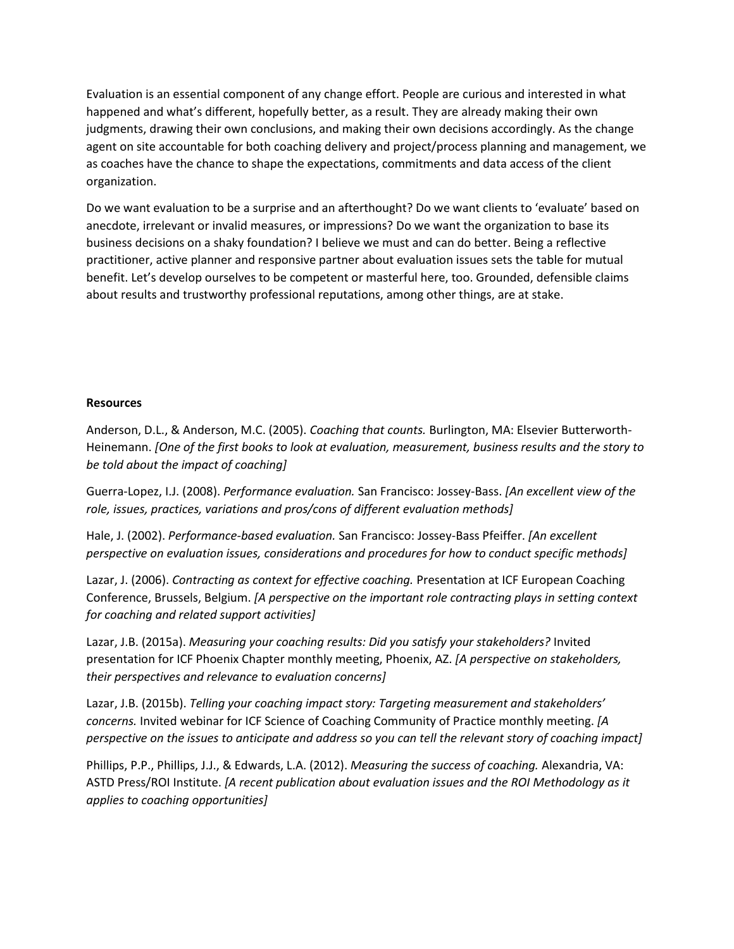Evaluation is an essential component of any change effort. People are curious and interested in what happened and what's different, hopefully better, as a result. They are already making their own judgments, drawing their own conclusions, and making their own decisions accordingly. As the change agent on site accountable for both coaching delivery and project/process planning and management, we as coaches have the chance to shape the expectations, commitments and data access of the client organization.

Do we want evaluation to be a surprise and an afterthought? Do we want clients to 'evaluate' based on anecdote, irrelevant or invalid measures, or impressions? Do we want the organization to base its business decisions on a shaky foundation? I believe we must and can do better. Being a reflective practitioner, active planner and responsive partner about evaluation issues sets the table for mutual benefit. Let's develop ourselves to be competent or masterful here, too. Grounded, defensible claims about results and trustworthy professional reputations, among other things, are at stake.

#### **Resources**

Anderson, D.L., & Anderson, M.C. (2005). *Coaching that counts.* Burlington, MA: Elsevier Butterworth-Heinemann. *[One of the first books to look at evaluation, measurement, business results and the story to be told about the impact of coaching]*

Guerra-Lopez, I.J. (2008). *Performance evaluation.* San Francisco: Jossey-Bass. *[An excellent view of the role, issues, practices, variations and pros/cons of different evaluation methods]*

Hale, J. (2002). *Performance-based evaluation.* San Francisco: Jossey-Bass Pfeiffer. *[An excellent perspective on evaluation issues, considerations and procedures for how to conduct specific methods]*

Lazar, J. (2006). *Contracting as context for effective coaching.* Presentation at ICF European Coaching Conference, Brussels, Belgium. *[A perspective on the important role contracting plays in setting context for coaching and related support activities]*

Lazar, J.B. (2015a). *Measuring your coaching results: Did you satisfy your stakeholders?* Invited presentation for ICF Phoenix Chapter monthly meeting, Phoenix, AZ. *[A perspective on stakeholders, their perspectives and relevance to evaluation concerns]*

Lazar, J.B. (2015b). *Telling your coaching impact story: Targeting measurement and stakeholders' concerns.* Invited webinar for ICF Science of Coaching Community of Practice monthly meeting. *[A perspective on the issues to anticipate and address so you can tell the relevant story of coaching impact]*

Phillips, P.P., Phillips, J.J., & Edwards, L.A. (2012). *Measuring the success of coaching.* Alexandria, VA: ASTD Press/ROI Institute. *[A recent publication about evaluation issues and the ROI Methodology as it applies to coaching opportunities]*